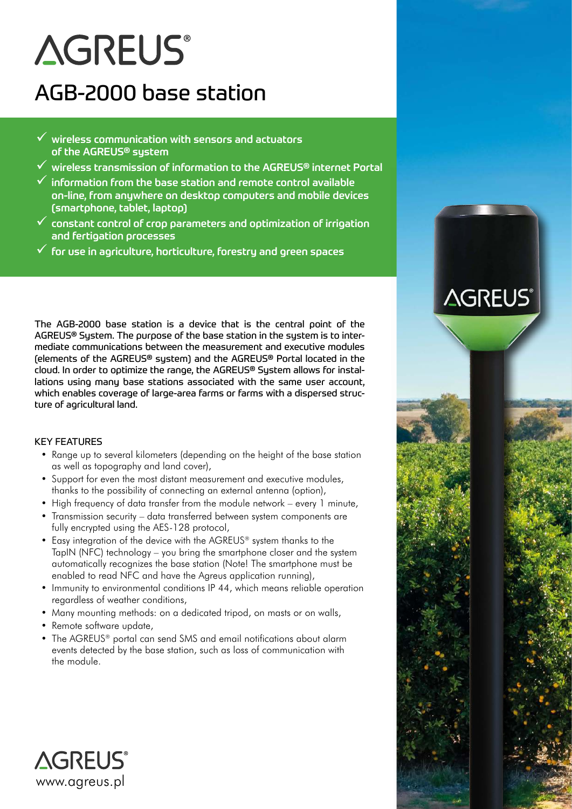# **AGREUS®**

# AGB-2000 base station

- $\checkmark$  wireless communication with sensors and actuators of the AGREUS® system
- $\checkmark$  wireless transmission of information to the AGREUS® internet Portal
- $\checkmark$  information from the base station and remote control available on-line, from anywhere on desktop computers and mobile devices (smartphone, tablet, laptop)
- $\checkmark$  constant control of crop parameters and optimization of irrigation and fertigation processes
- $\checkmark$  for use in agriculture, horticulture, forestru and green spaces

The AGB-2000 base station is a device that is the central point of the AGREUS® System. The purpose of the base station in the system is to intermediate communications between the measurement and executive modules (elements of the AGREUS® system) and the AGREUS® Portal located in the cloud. In order to optimize the range, the AGREUS® System allows for installations using many base stations associated with the same user account, which enables coverage of large-area farms or farms with a dispersed structure of agricultural land.

### KEY FEATURES

- Range up to several kilometers (depending on the height of the base station as well as topography and land cover),
- Support for even the most distant measurement and executive modules, thanks to the possibility of connecting an external antenna (option),
- High frequency of data transfer from the module network every 1 minute,
- Transmission security data transferred between system components are fully encrypted using the AES-128 protocol,
- Easy integration of the device with the AGREUS® system thanks to the TapIN (NFC) technology – you bring the smartphone closer and the system automatically recognizes the base station (Note! The smartphone must be enabled to read NFC and have the Agreus application running),
- Immunity to environmental conditions IP 44, which means reliable operation regardless of weather conditions,
- Many mounting methods: on a dedicated tripod, on masts or on walls,
- Remote software update,
- The AGREUS® portal can send SMS and email notifications about alarm events detected by the base station, such as loss of communication with the module.



# **AGREUS®**